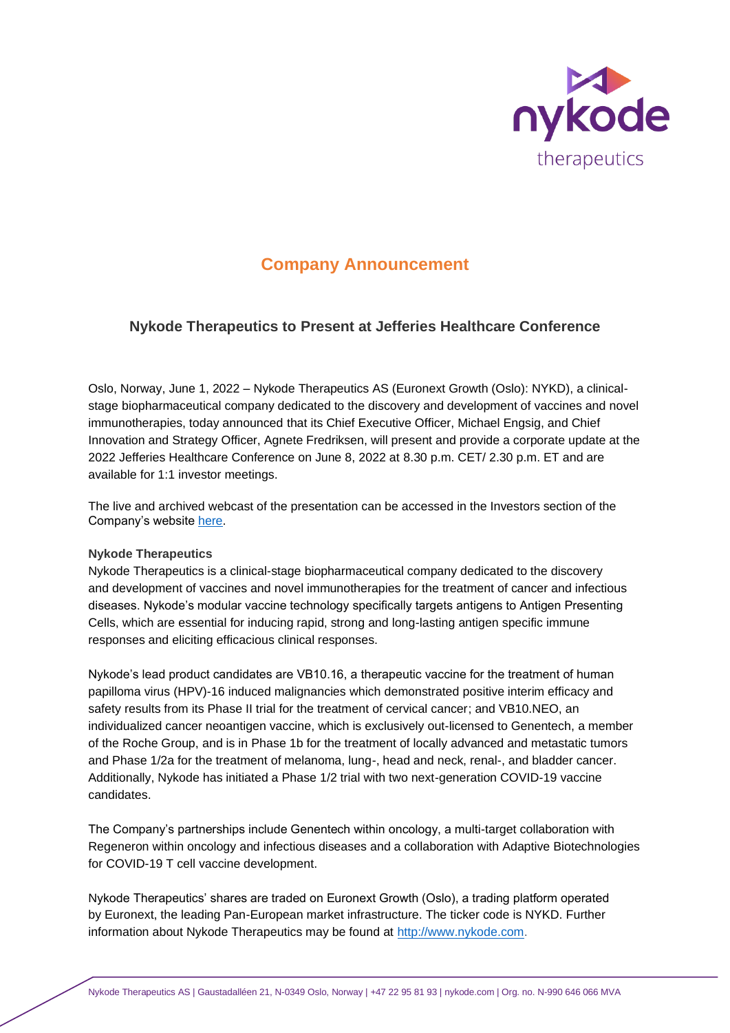

# **Company Announcement**

# **Nykode Therapeutics to Present at Jefferies Healthcare Conference**

Oslo, Norway, June 1, 2022 – Nykode Therapeutics AS (Euronext Growth (Oslo): NYKD), a clinicalstage biopharmaceutical company dedicated to the discovery and development of vaccines and novel immunotherapies, today announced that its Chief Executive Officer, Michael Engsig, and Chief Innovation and Strategy Officer, Agnete Fredriksen, will present and provide a corporate update at the 2022 Jefferies Healthcare Conference on June 8, 2022 at 8.30 p.m. CET/ 2.30 p.m. ET and are available for 1:1 investor meetings.

The live and archived webcast of the presentation can be accessed in the Investors section of the Company's website [here.](http://www.nykode.com/investors/financial-reports-and-presentations.)

## **Nykode Therapeutics**

Nykode Therapeutics is a clinical-stage biopharmaceutical company dedicated to the discovery and development of vaccines and novel immunotherapies for the treatment of cancer and infectious diseases. Nykode's modular vaccine technology specifically targets antigens to Antigen Presenting Cells, which are essential for inducing rapid, strong and long-lasting antigen specific immune responses and eliciting efficacious clinical responses.

Nykode's lead product candidates are VB10.16, a therapeutic vaccine for the treatment of human papilloma virus (HPV)-16 induced malignancies which demonstrated positive interim efficacy and safety results from its Phase II trial for the treatment of cervical cancer; and VB10.NEO, an individualized cancer neoantigen vaccine, which is exclusively out-licensed to Genentech, a member of the Roche Group, and is in Phase 1b for the treatment of locally advanced and metastatic tumors and Phase 1/2a for the treatment of melanoma, lung-, head and neck, renal-, and bladder cancer. Additionally, Nykode has initiated a Phase 1/2 trial with two next-generation COVID-19 vaccine candidates.

The Company's partnerships include Genentech within oncology, a multi-target collaboration with Regeneron within oncology and infectious diseases and a collaboration with Adaptive Biotechnologies for COVID-19 T cell vaccine development.

Nykode Therapeutics' shares are traded on Euronext Growth (Oslo), a trading platform operated by Euronext, the leading Pan-European market infrastructure. The ticker code is NYKD. Further information about Nykode Therapeutics may be found at [http://www.nykode.com.](http://www.nykode.com/)